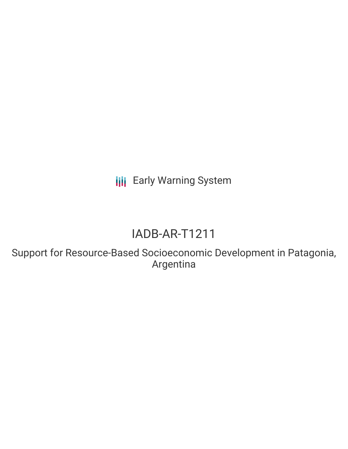**III** Early Warning System

## IADB-AR-T1211

Support for Resource-Based Socioeconomic Development in Patagonia, Argentina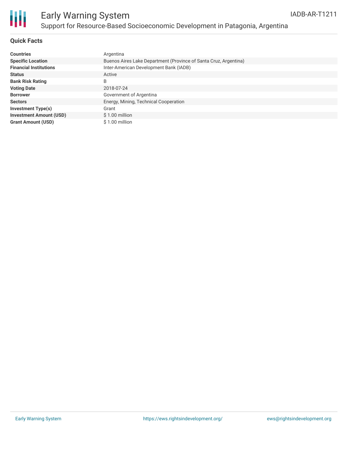

### Early Warning System Support for Resource-Based Socioeconomic Development in Patagonia, Argentina

### **Quick Facts**

| <b>Countries</b>               | Argentina                                                        |
|--------------------------------|------------------------------------------------------------------|
| <b>Specific Location</b>       | Buenos Aires Lake Department (Province of Santa Cruz, Argentina) |
| <b>Financial Institutions</b>  | Inter-American Development Bank (IADB)                           |
| <b>Status</b>                  | Active                                                           |
| <b>Bank Risk Rating</b>        | B                                                                |
| <b>Voting Date</b>             | 2018-07-24                                                       |
| <b>Borrower</b>                | Government of Argentina                                          |
| <b>Sectors</b>                 | Energy, Mining, Technical Cooperation                            |
| <b>Investment Type(s)</b>      | Grant                                                            |
| <b>Investment Amount (USD)</b> | $$1.00$ million                                                  |
| <b>Grant Amount (USD)</b>      | \$1.00 million                                                   |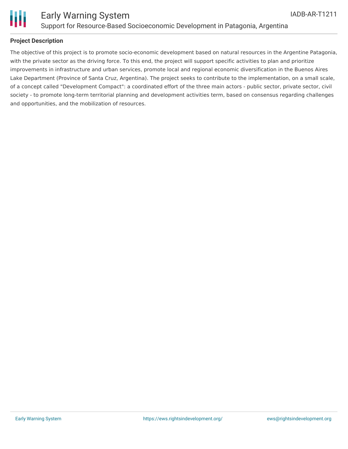

### **Project Description**

The objective of this project is to promote socio-economic development based on natural resources in the Argentine Patagonia, with the private sector as the driving force. To this end, the project will support specific activities to plan and prioritize improvements in infrastructure and urban services, promote local and regional economic diversification in the Buenos Aires Lake Department (Province of Santa Cruz, Argentina). The project seeks to contribute to the implementation, on a small scale, of a concept called "Development Compact": a coordinated effort of the three main actors - public sector, private sector, civil society - to promote long-term territorial planning and development activities term, based on consensus regarding challenges and opportunities, and the mobilization of resources.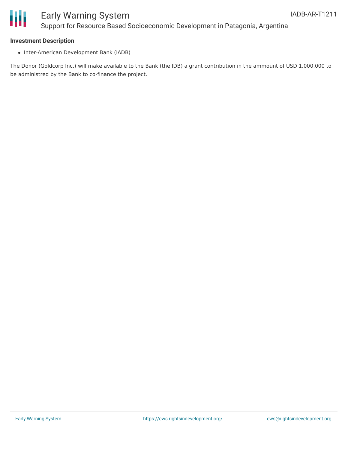

### Early Warning System Support for Resource-Based Socioeconomic Development in Patagonia, Argentina

#### **Investment Description**

• Inter-American Development Bank (IADB)

The Donor (Goldcorp Inc.) will make available to the Bank (the IDB) a grant contribution in the ammount of USD 1.000.000 to be administred by the Bank to co-finance the project.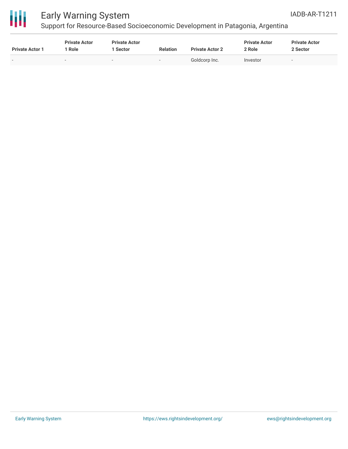

# 冊

### Early Warning System

### Support for Resource-Based Socioeconomic Development in Patagonia, Argentina

| <b>Private Actor 1</b> | <b>Private Actor</b><br>' Role | <b>Private Actor</b><br>1 Sector | <b>Relation</b> | <b>Private Actor 2</b> | <b>Private Actor</b><br>2 Role | <b>Private Actor</b><br>2 Sector |
|------------------------|--------------------------------|----------------------------------|-----------------|------------------------|--------------------------------|----------------------------------|
| $\sim$                 | $\sim$                         | $\sim$                           | . .             | Goldcorp Inc.          | Investor                       | -                                |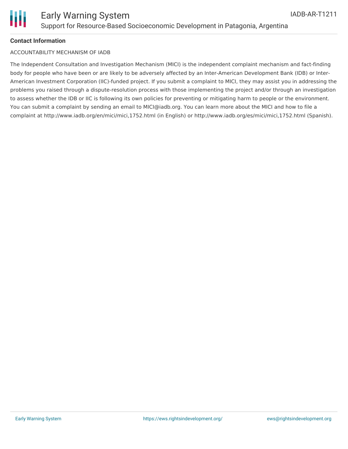

### **Contact Information**

#### ACCOUNTABILITY MECHANISM OF IADB

The Independent Consultation and Investigation Mechanism (MICI) is the independent complaint mechanism and fact-finding body for people who have been or are likely to be adversely affected by an Inter-American Development Bank (IDB) or Inter-American Investment Corporation (IIC)-funded project. If you submit a complaint to MICI, they may assist you in addressing the problems you raised through a dispute-resolution process with those implementing the project and/or through an investigation to assess whether the IDB or IIC is following its own policies for preventing or mitigating harm to people or the environment. You can submit a complaint by sending an email to MICI@iadb.org. You can learn more about the MICI and how to file a complaint at http://www.iadb.org/en/mici/mici,1752.html (in English) or http://www.iadb.org/es/mici/mici,1752.html (Spanish).